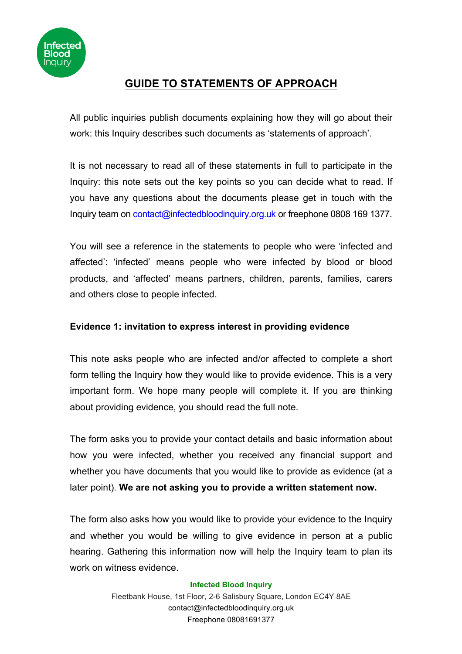

# **GUIDE TO STATEMENTS OF APPROACH**

All public inquiries publish documents explaining how they will go about their work: this Inquiry describes such documents as 'statements of approach'.

It is not necessary to read all of these statements in full to participate in the Inquiry: this note sets out the key points so you can decide what to read. If you have any questions about the documents please get in touch with the Inquiry team on contact@infectedbloodinquiry.org.uk or freephone 0808 169 1377.

You will see a reference in the statements to people who were 'infected and affected': 'infected' means people who were infected by blood or blood products, and 'affected' means partners, children, parents, families, carers and others close to people infected.

## **Evidence 1: invitation to express interest in providing evidence**

This note asks people who are infected and/or affected to complete a short form telling the Inquiry how they would like to provide evidence. This is a very important form. We hope many people will complete it. If you are thinking about providing evidence, you should read the full note.

The form asks you to provide your contact details and basic information about how you were infected, whether you received any financial support and whether you have documents that you would like to provide as evidence (at a later point). **We are not asking you to provide a written statement now.**

The form also asks how you would like to provide your evidence to the Inquiry and whether you would be willing to give evidence in person at a public hearing. Gathering this information now will help the Inquiry team to plan its work on witness evidence.

#### **Infected Blood Inquiry**

Fleetbank House, 1st Floor, 2-6 Salisbury Square, London EC4Y 8AE contact@infectedbloodinquiry.org.uk Freephone 08081691377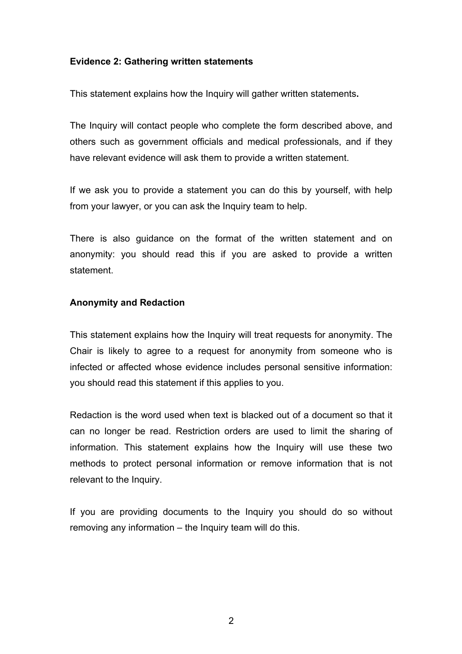### **Evidence 2: Gathering written statements**

This statement explains how the Inquiry will gather written statements**.** 

The Inquiry will contact people who complete the form described above, and others such as government officials and medical professionals, and if they have relevant evidence will ask them to provide a written statement.

If we ask you to provide a statement you can do this by yourself, with help from your lawyer, or you can ask the Inquiry team to help.

There is also guidance on the format of the written statement and on anonymity: you should read this if you are asked to provide a written statement.

### **Anonymity and Redaction**

This statement explains how the Inquiry will treat requests for anonymity. The Chair is likely to agree to a request for anonymity from someone who is infected or affected whose evidence includes personal sensitive information: you should read this statement if this applies to you.

Redaction is the word used when text is blacked out of a document so that it can no longer be read. Restriction orders are used to limit the sharing of information. This statement explains how the Inquiry will use these two methods to protect personal information or remove information that is not relevant to the Inquiry.

If you are providing documents to the Inquiry you should do so without removing any information – the Inquiry team will do this.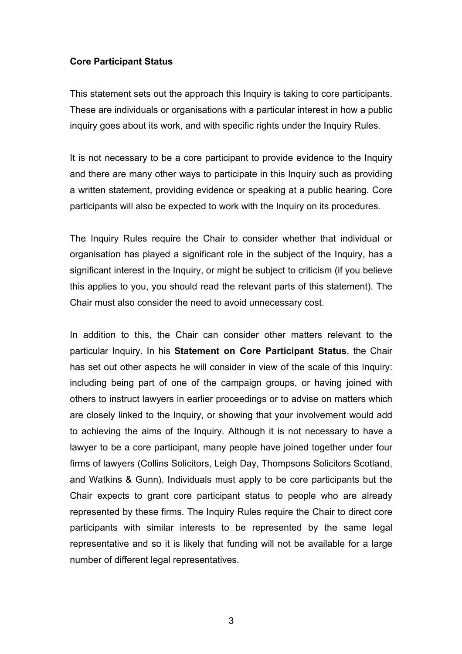#### **Core Participant Status**

This statement sets out the approach this Inquiry is taking to core participants. These are individuals or organisations with a particular interest in how a public inquiry goes about its work, and with specific rights under the Inquiry Rules.

It is not necessary to be a core participant to provide evidence to the Inquiry and there are many other ways to participate in this Inquiry such as providing a written statement, providing evidence or speaking at a public hearing. Core participants will also be expected to work with the Inquiry on its procedures.

The Inquiry Rules require the Chair to consider whether that individual or organisation has played a significant role in the subject of the Inquiry, has a significant interest in the Inquiry, or might be subject to criticism (if you believe this applies to you, you should read the relevant parts of this statement). The Chair must also consider the need to avoid unnecessary cost.

In addition to this, the Chair can consider other matters relevant to the particular Inquiry. In his **Statement on Core Participant Status**, the Chair has set out other aspects he will consider in view of the scale of this Inquiry: including being part of one of the campaign groups, or having joined with others to instruct lawyers in earlier proceedings or to advise on matters which are closely linked to the Inquiry, or showing that your involvement would add to achieving the aims of the Inquiry. Although it is not necessary to have a lawyer to be a core participant, many people have joined together under four firms of lawyers (Collins Solicitors, Leigh Day, Thompsons Solicitors Scotland, and Watkins & Gunn). Individuals must apply to be core participants but the Chair expects to grant core participant status to people who are already represented by these firms. The Inquiry Rules require the Chair to direct core participants with similar interests to be represented by the same legal representative and so it is likely that funding will not be available for a large number of different legal representatives.